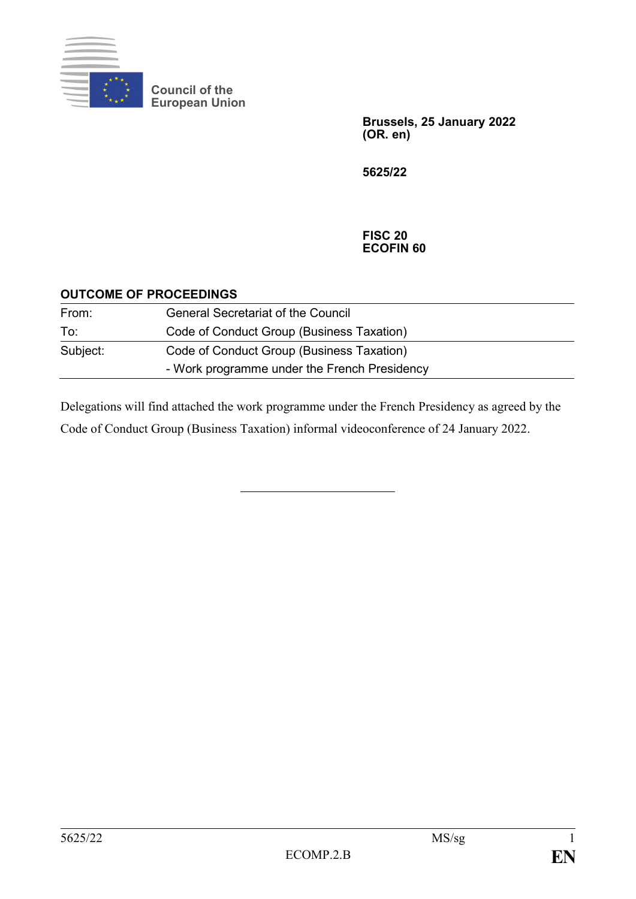

**Council of the European Union**

> **Brussels, 25 January 2022 (OR. en)**

**5625/22**

#### **FISC 20 ECOFIN 60**

#### **OUTCOME OF PROCEEDINGS**

| From:    | <b>General Secretariat of the Council</b>    |
|----------|----------------------------------------------|
| To:      | Code of Conduct Group (Business Taxation)    |
| Subject: | Code of Conduct Group (Business Taxation)    |
|          | - Work programme under the French Presidency |

Delegations will find attached the work programme under the French Presidency as agreed by the Code of Conduct Group (Business Taxation) informal videoconference of 24 January 2022.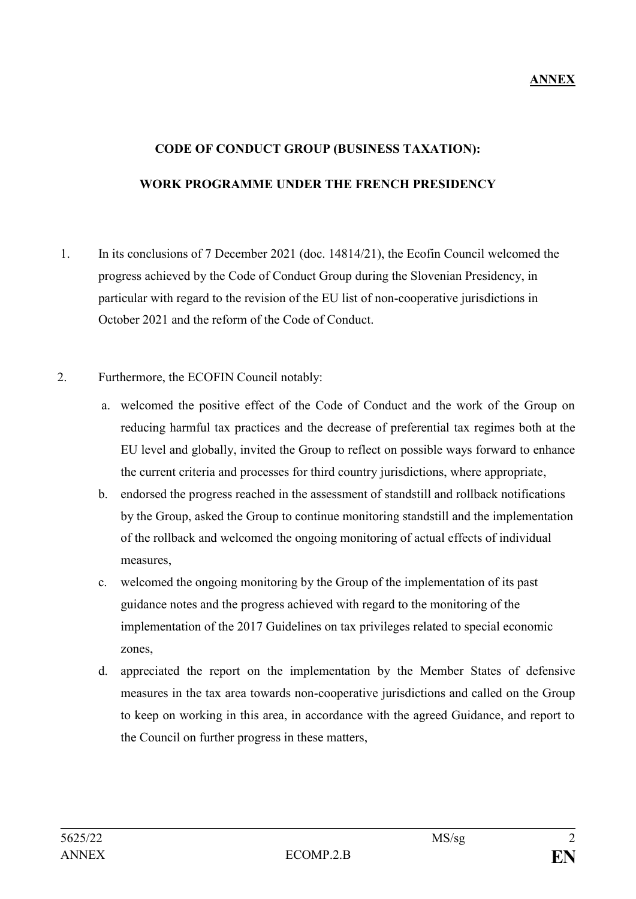# **CODE OF CONDUCT GROUP (BUSINESS TAXATION): WORK PROGRAMME UNDER THE FRENCH PRESIDENCY**

1. In its conclusions of 7 December 2021 (doc. 14814/21), the Ecofin Council welcomed the progress achieved by the Code of Conduct Group during the Slovenian Presidency, in particular with regard to the revision of the EU list of non-cooperative jurisdictions in October 2021 and the reform of the Code of Conduct.

#### 2. Furthermore, the ECOFIN Council notably:

- a. welcomed the positive effect of the Code of Conduct and the work of the Group on reducing harmful tax practices and the decrease of preferential tax regimes both at the EU level and globally, invited the Group to reflect on possible ways forward to enhance the current criteria and processes for third country jurisdictions, where appropriate,
- b. endorsed the progress reached in the assessment of standstill and rollback notifications by the Group, asked the Group to continue monitoring standstill and the implementation of the rollback and welcomed the ongoing monitoring of actual effects of individual measures,
- c. welcomed the ongoing monitoring by the Group of the implementation of its past guidance notes and the progress achieved with regard to the monitoring of the implementation of the 2017 Guidelines on tax privileges related to special economic zones,
- d. appreciated the report on the implementation by the Member States of defensive measures in the tax area towards non-cooperative jurisdictions and called on the Group to keep on working in this area, in accordance with the agreed Guidance, and report to the Council on further progress in these matters,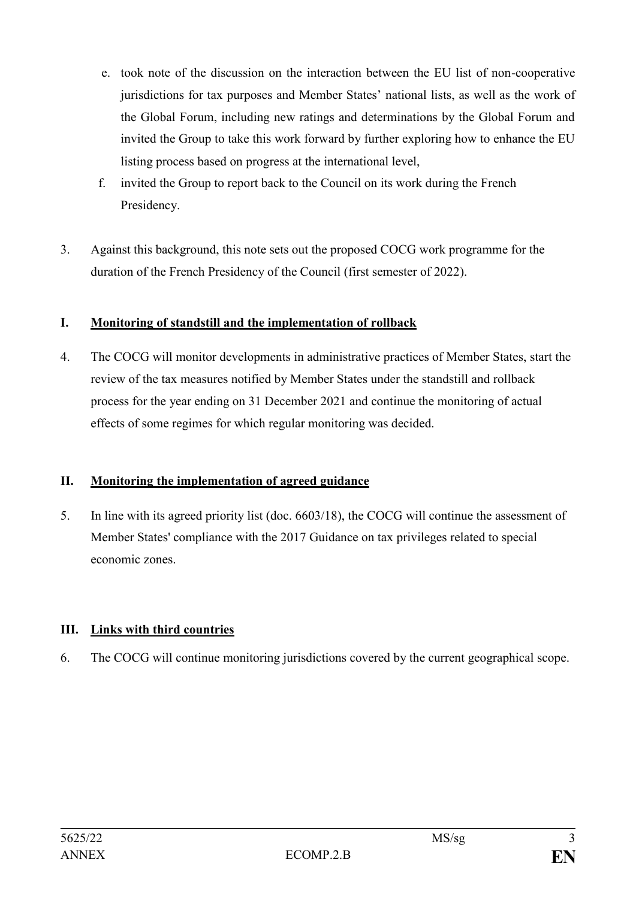- e. took note of the discussion on the interaction between the EU list of non-cooperative jurisdictions for tax purposes and Member States' national lists, as well as the work of the Global Forum, including new ratings and determinations by the Global Forum and invited the Group to take this work forward by further exploring how to enhance the EU listing process based on progress at the international level,
- f. invited the Group to report back to the Council on its work during the French Presidency.
- 3. Against this background, this note sets out the proposed COCG work programme for the duration of the French Presidency of the Council (first semester of 2022).

# **I. Monitoring of standstill and the implementation of rollback**

4. The COCG will monitor developments in administrative practices of Member States, start the review of the tax measures notified by Member States under the standstill and rollback process for the year ending on 31 December 2021 and continue the monitoring of actual effects of some regimes for which regular monitoring was decided.

# **II. Monitoring the implementation of agreed guidance**

5. In line with its agreed priority list (doc. 6603/18), the COCG will continue the assessment of Member States' compliance with the 2017 Guidance on tax privileges related to special economic zones.

# **III. Links with third countries**

6. The COCG will continue monitoring jurisdictions covered by the current geographical scope.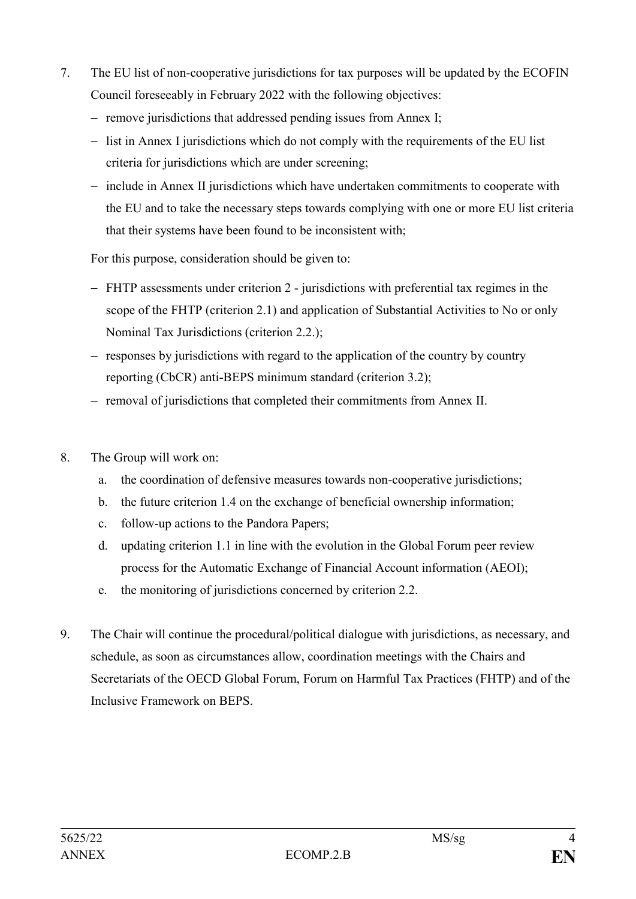- 7. The EU list of non-cooperative jurisdictions for tax purposes will be updated by the ECOFIN Council foreseeably in February 2022 with the following objectives:
	- ‒ remove jurisdictions that addressed pending issues from Annex I;
	- $\overline{\phantom{a}}$  list in Annex I jurisdictions which do not comply with the requirements of the EU list criteria for jurisdictions which are under screening;
	- ‒ include in Annex II jurisdictions which have undertaken commitments to cooperate with the EU and to take the necessary steps towards complying with one or more EU list criteria that their systems have been found to be inconsistent with;

For this purpose, consideration should be given to:

- ‒ FHTP assessments under criterion 2 jurisdictions with preferential tax regimes in the scope of the FHTP (criterion 2.1) and application of Substantial Activities to No or only Nominal Tax Jurisdictions (criterion 2.2.);
- ‒ responses by jurisdictions with regard to the application of the country by country reporting (CbCR) anti-BEPS minimum standard (criterion 3.2);
- ‒ removal of jurisdictions that completed their commitments from Annex II.
- 8. The Group will work on:
	- a. the coordination of defensive measures towards non-cooperative jurisdictions;
	- b. the future criterion 1.4 on the exchange of beneficial ownership information;
	- c. follow-up actions to the Pandora Papers;
	- d. updating criterion 1.1 in line with the evolution in the Global Forum peer review process for the Automatic Exchange of Financial Account information (AEOI);
	- e. the monitoring of jurisdictions concerned by criterion 2.2.
- 9. The Chair will continue the procedural/political dialogue with jurisdictions, as necessary, and schedule, as soon as circumstances allow, coordination meetings with the Chairs and Secretariats of the OECD Global Forum, Forum on Harmful Tax Practices (FHTP) and of the Inclusive Framework on BEPS.